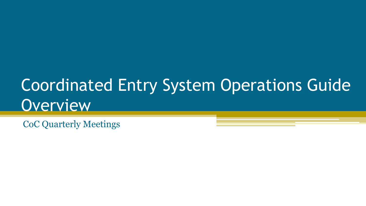# Coordinated Entry System Operations Guide **Overview**

CoC Quarterly Meetings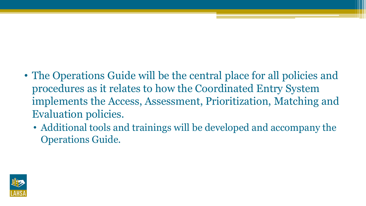- The Operations Guide will be the central place for all policies and procedures as it relates to how the Coordinated Entry System implements the Access, Assessment, Prioritization, Matching and Evaluation policies.
	- Additional tools and trainings will be developed and accompany the Operations Guide.

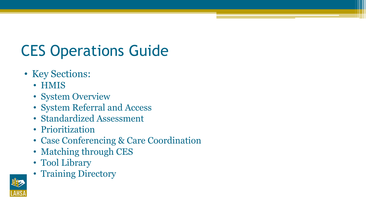# CES Operations Guide

- Key Sections:
	- HMIS
	- System Overview
	- System Referral and Access
	- Standardized Assessment
	- Prioritization
	- Case Conferencing & Care Coordination
	- Matching through CES
	- Tool Library
	- Training Directory

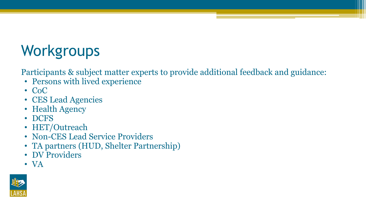# **Workgroups**

Participants & subject matter experts to provide additional feedback and guidance:

- Persons with lived experience
- CoC
- CES Lead Agencies
- Health Agency
- DCFS
- HET/Outreach
- Non-CES Lead Service Providers
- TA partners (HUD, Shelter Partnership)
- DV Providers
- VA

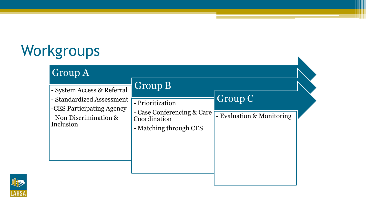# Workgroups

| - System Access & Referral                                                                    | Group B                                                                                  |                                      |
|-----------------------------------------------------------------------------------------------|------------------------------------------------------------------------------------------|--------------------------------------|
| - Standardized Assessment<br>-CES Participating Agency<br>- Non Discrimination &<br>Inclusion | - Prioritization<br>- Case Conferencing & Care<br>Coordination<br>- Matching through CES | Group C<br>- Evaluation & Monitoring |

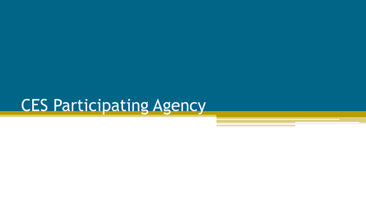# CES Participating Agency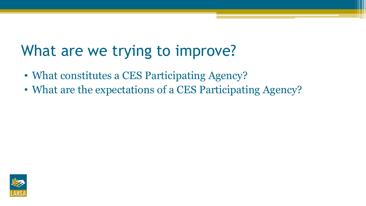## What are we trying to improve?

- What constitutes a CES Participating Agency?
- What are the expectations of a CES Participating Agency?

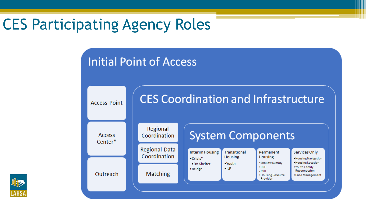## CES Participating Agency Roles

**Access Point** 

**Access** Center\*

Outreach

#### **Initial Point of Access**



Regional Coordination

**Regional Data** Coordination

**Matching** 

#### **System Components**

Services Only

· Housing Navigation · Housing Location ·Youth Family Reconnection

· Case Management

| . Shallow Subsidy<br>•Youth<br>.DV Shelter<br>$\bullet$ RRH<br>$\bullet$ ILP<br>•Bridge<br>$-PSH$<br>• Housing Resource<br>Provider | <b>Interim Housing</b><br>$•$ Crisis $*$ | Transitional<br><b>Housing</b> | Permanent<br><b>Housing</b> |
|-------------------------------------------------------------------------------------------------------------------------------------|------------------------------------------|--------------------------------|-----------------------------|
|-------------------------------------------------------------------------------------------------------------------------------------|------------------------------------------|--------------------------------|-----------------------------|

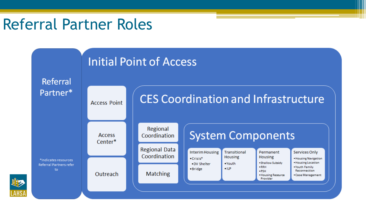### Referral Partner Roles

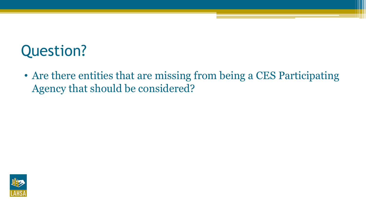## Question?

• Are there entities that are missing from being a CES Participating Agency that should be considered?

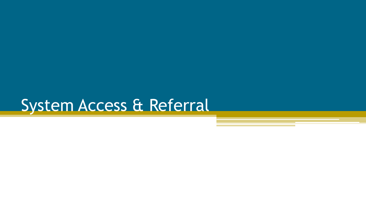# System Access & Referral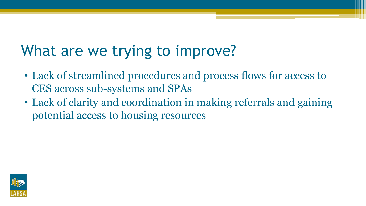## What are we trying to improve?

- Lack of streamlined procedures and process flows for access to CES across sub-systems and SPAs
- Lack of clarity and coordination in making referrals and gaining potential access to housing resources

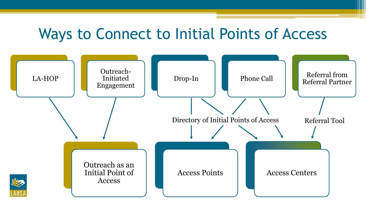### Ways to Connect to Initial Points of Access

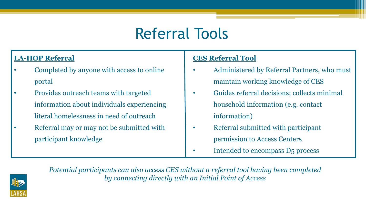## Referral Tools

#### **LA-HOP Referral**

- Completed by anyone with access to online portal
- Provides outreach teams with targeted information about individuals experiencing literal homelessness in need of outreach
- Referral may or may not be submitted with participant knowledge

#### **CES Referral Tool**

- Administered by Referral Partners, who must maintain working knowledge of CES
- Guides referral decisions; collects minimal household information (e.g. contact information)
- Referral submitted with participant permission to Access Centers
- Intended to encompass D5 process



*Potential participants can also access CES without a referral tool having been completed by connecting directly with an Initial Point of Access*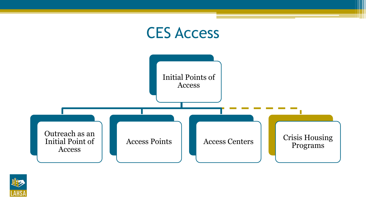

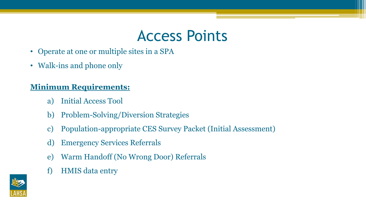### Access Points

- Operate at one or multiple sites in a SPA
- Walk-ins and phone only

#### **Minimum Requirements:**

- a) Initial Access Tool
- b) Problem-Solving/Diversion Strategies
- c) Population-appropriate CES Survey Packet (Initial Assessment)
- d) Emergency Services Referrals
- e) Warm Handoff (No Wrong Door) Referrals
- f) HMIS data entry

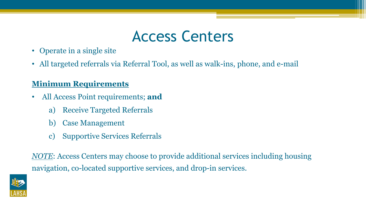### Access Centers

- Operate in a single site
- All targeted referrals via Referral Tool, as well as walk-ins, phone, and e-mail

#### **Minimum Requirements**

- All Access Point requirements; **and**
	- a) Receive Targeted Referrals
	- b) Case Management
	- c) Supportive Services Referrals

*NOTE*: Access Centers may choose to provide additional services including housing navigation, co-located supportive services, and drop-in services.

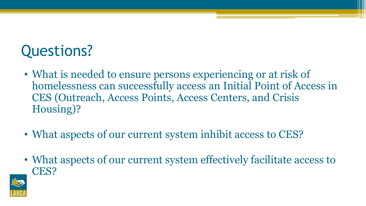## Questions?

- What is needed to ensure persons experiencing or at risk of homelessness can successfully access an Initial Point of Access in CES (Outreach, Access Points, Access Centers, and Crisis Housing)?
- What aspects of our current system inhibit access to CES?
- What aspects of our current system effectively facilitate access to CES?

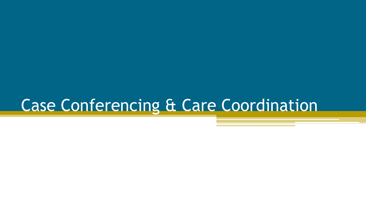## Case Conferencing & Care Coordination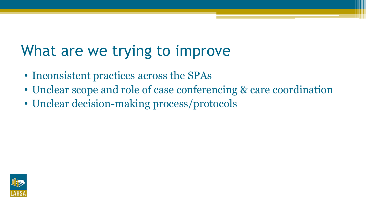## What are we trying to improve

- Inconsistent practices across the SPAs
- Unclear scope and role of case conferencing & care coordination
- Unclear decision-making process/protocols

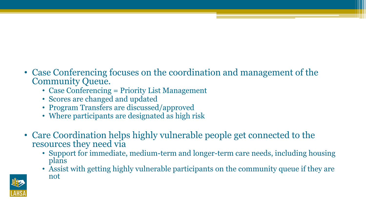- Case Conferencing focuses on the coordination and management of the Community Queue.
	- Case Conferencing = Priority List Management
	- Scores are changed and updated
	- Program Transfers are discussed/approved
	- Where participants are designated as high risk
- Care Coordination helps highly vulnerable people get connected to the resources they need via
	- Support for immediate, medium-term and longer-term care needs, including housing plans
	- Assist with getting highly vulnerable participants on the community queue if they are not

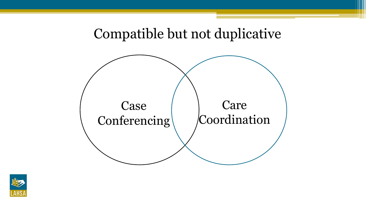#### Compatible but not duplicative



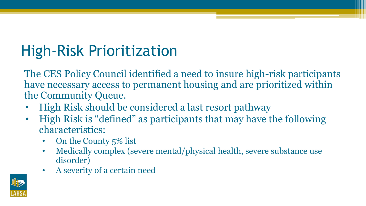# High-Risk Prioritization

The CES Policy Council identified a need to insure high-risk participants have necessary access to permanent housing and are prioritized within the Community Queue.

- High Risk should be considered a last resort pathway
- High Risk is "defined" as participants that may have the following characteristics:
	- On the County 5% list
	- Medically complex (severe mental/physical health, severe substance use disorder)
	- A severity of a certain need

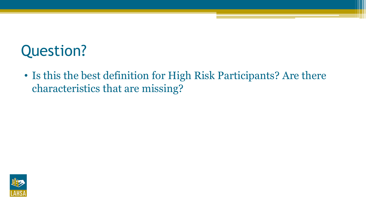## Question?

• Is this the best definition for High Risk Participants? Are there characteristics that are missing?

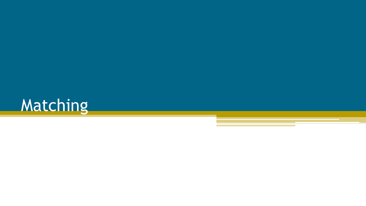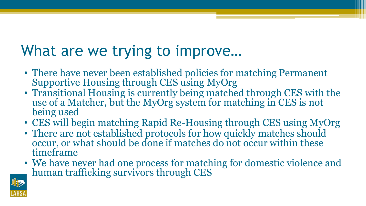## What are we trying to improve…

- There have never been established policies for matching Permanent Supportive Housing through CES using MyOrg
- Transitional Housing is currently being matched through CES with the use of a Matcher, but the MyOrg system for matching in CES is not being used
- CES will begin matching Rapid Re-Housing through CES using MyOrg
- There are not established protocols for how quickly matches should occur, or what should be done if matches do not occur within these timeframe
- We have never had one process for matching for domestic violence and human trafficking survivors through CES

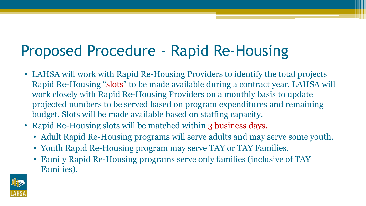## Proposed Procedure - Rapid Re-Housing

- LAHSA will work with Rapid Re-Housing Providers to identify the total projects Rapid Re-Housing "slots" to be made available during a contract year. LAHSA will work closely with Rapid Re-Housing Providers on a monthly basis to update projected numbers to be served based on program expenditures and remaining budget. Slots will be made available based on staffing capacity.
- Rapid Re-Housing slots will be matched within 3 business days.
	- Adult Rapid Re-Housing programs will serve adults and may serve some youth.
	- Youth Rapid Re-Housing program may serve TAY or TAY Families.
	- Family Rapid Re-Housing programs serve only families (inclusive of TAY Families).

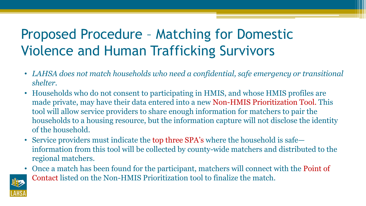### Proposed Procedure – Matching for Domestic Violence and Human Trafficking Survivors

- *LAHSA does not match households who need a confidential, safe emergency or transitional shelter.*
- Households who do not consent to participating in HMIS, and whose HMIS profiles are made private, may have their data entered into a new Non-HMIS Prioritization Tool. This tool will allow service providers to share enough information for matchers to pair the households to a housing resource, but the information capture will not disclose the identity of the household.
- Service providers must indicate the top three SPA's where the household is safe information from this tool will be collected by county-wide matchers and distributed to the regional matchers.
- Once a match has been found for the participant, matchers will connect with the Point of Contact listed on the Non-HMIS Prioritization tool to finalize the match.

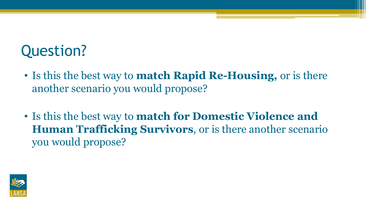## Question?

- Is this the best way to **match Rapid Re-Housing,** or is there another scenario you would propose?
- Is this the best way to **match for Domestic Violence and Human Trafficking Survivors**, or is there another scenario you would propose?